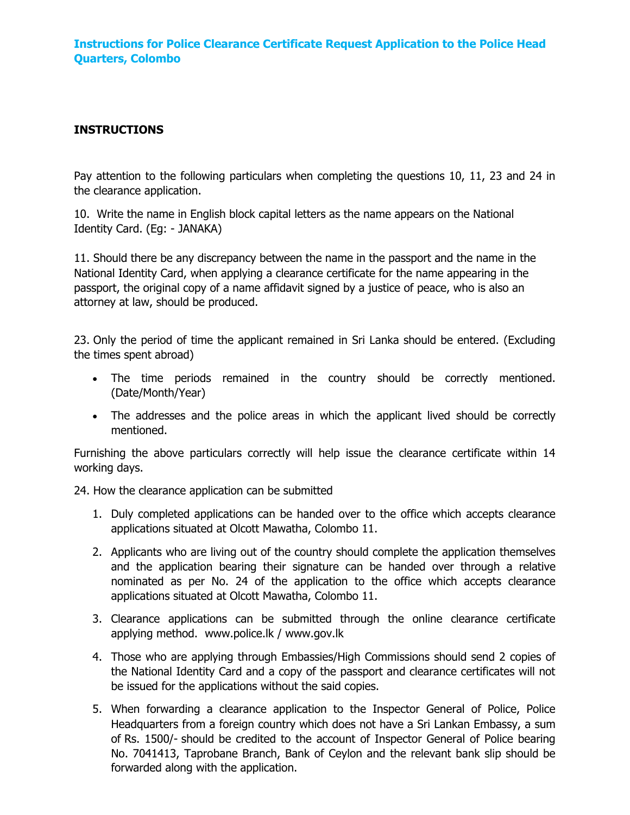## **INSTRUCTIONS**

Pay attention to the following particulars when completing the questions 10, 11, 23 and 24 in the clearance application.

10. Write the name in English block capital letters as the name appears on the National Identity Card. (Eg: - JANAKA)

11. Should there be any discrepancy between the name in the passport and the name in the National Identity Card, when applying a clearance certificate for the name appearing in the passport, the original copy of a name affidavit signed by a justice of peace, who is also an attorney at law, should be produced.

23. Only the period of time the applicant remained in Sri Lanka should be entered. (Excluding the times spent abroad)

- The time periods remained in the country should be correctly mentioned. (Date/Month/Year)
- The addresses and the police areas in which the applicant lived should be correctly mentioned.

Furnishing the above particulars correctly will help issue the clearance certificate within 14 working days.

24. How the clearance application can be submitted

- 1. Duly completed applications can be handed over to the office which accepts clearance applications situated at Olcott Mawatha, Colombo 11.
- 2. Applicants who are living out of the country should complete the application themselves and the application bearing their signature can be handed over through a relative nominated as per No. 24 of the application to the office which accepts clearance applications situated at Olcott Mawatha, Colombo 11.
- 3. Clearance applications can be submitted through the online clearance certificate applying method. www.police.lk / www.gov.lk
- 4. Those who are applying through Embassies/High Commissions should send 2 copies of the National Identity Card and a copy of the passport and clearance certificates will not be issued for the applications without the said copies.
- 5. When forwarding a clearance application to the Inspector General of Police, Police Headquarters from a foreign country which does not have a Sri Lankan Embassy, a sum of Rs. 1500/- should be credited to the account of Inspector General of Police bearing No. 7041413, Taprobane Branch, Bank of Ceylon and the relevant bank slip should be forwarded along with the application.